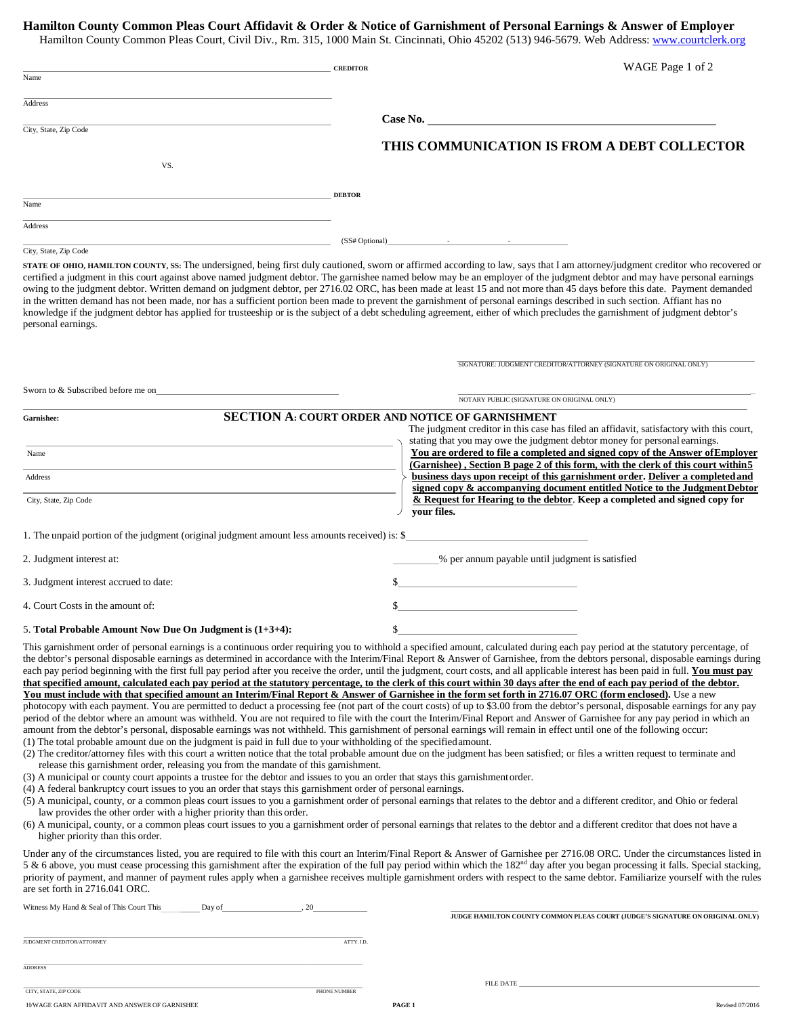## **Hamilton County Common Pleas Court Affidavit & Order & Notice of Garnishment of Personal Earnings & Answer of Employer**

Hamilton County Common Pleas Court, Civil Div., Rm. 315, 1000 Main St. Cincinnati, Ohio 45202 (513) 946-5679. Web Address[: www.courtclerk.org](http://www.courtclerk.org/)

|                       | <b>CREDITOR</b>                                      | WAGE Page 1 of 2                            |
|-----------------------|------------------------------------------------------|---------------------------------------------|
| Name                  |                                                      |                                             |
| Address               |                                                      |                                             |
|                       | <b>Case No.</b>                                      |                                             |
| City, State, Zip Code |                                                      |                                             |
|                       |                                                      | THIS COMMUNICATION IS FROM A DEBT COLLECTOR |
| VS.                   |                                                      |                                             |
|                       | <b>DEBTOR</b>                                        |                                             |
| Name                  |                                                      |                                             |
| Address               |                                                      |                                             |
|                       | (SS# Optional)<br>$\sim$<br>$\overline{\phantom{a}}$ |                                             |

## City, State, Zip Code

Sworn to & Subscribed before me on \_

**STATE OF OHIO, HAMILTON COUNTY, SS:** The undersigned, being first duly cautioned, sworn or affirmed according to law, says that I am attorney/judgment creditor who recovered or certified a judgment in this court against above named judgment debtor. The garnishee named below may be an employer of the judgment debtor and may have personal earnings owing to the judgment debtor. Written demand on judgment debtor, per 2716.02 ORC, has been made at least 15 and not more than 45 days before this date. Payment demanded in the written demand has not been made, nor has a sufficient portion been made to prevent the garnishment of personal earnings described in such section. Affiant has no knowledge if the judgment debtor has applied for trusteeship or is the subject of a debt scheduling agreement, either of which precludes the garnishment of judgment debtor's personal earnings.

SIGNATURE: JUDGMENT CREDITOR/ATTORNEY (SIGNATURE ON ORIGINAL ONLY)

| NOTARY PUBLIC (SIGNATURE ON ORIGINAL ONLY)                                                                      |                                                                                                                                                                       |  |  |
|-----------------------------------------------------------------------------------------------------------------|-----------------------------------------------------------------------------------------------------------------------------------------------------------------------|--|--|
| Garnishee:                                                                                                      | <b>SECTION A: COURT ORDER AND NOTICE OF GARNISHMENT</b>                                                                                                               |  |  |
|                                                                                                                 | The judgment creditor in this case has filed an affidavit, satisfactory with this court,<br>stating that you may owe the judgment debtor money for personal earnings. |  |  |
| Name                                                                                                            | You are ordered to file a completed and signed copy of the Answer of Employer<br>(Garnishee), Section B page 2 of this form, with the clerk of this court within 5    |  |  |
| Address                                                                                                         | business days upon receipt of this garnishment order. Deliver a completed and<br>signed copy & accompanying document entitled Notice to the Judgment Debtor           |  |  |
| City, State, Zip Code                                                                                           | & Request for Hearing to the debtor. Keep a completed and signed copy for<br>vour files.                                                                              |  |  |
| 1. The unpaid portion of the judgment (original judgment amount less amounts received) is: \$                   |                                                                                                                                                                       |  |  |
| 2. Judgment interest at:                                                                                        | % per annum payable until judgment is satisfied                                                                                                                       |  |  |
| 3. Judgment interest accrued to date:                                                                           |                                                                                                                                                                       |  |  |
| 4. Court Costs in the amount of:                                                                                |                                                                                                                                                                       |  |  |
| 5. Total Probable Amount Now Due On Judgment is $(1+3+4)$ :                                                     |                                                                                                                                                                       |  |  |
| the contract of the contract of the contract of the contract of the contract of the contract of the contract of | .                                                                                                                                                                     |  |  |

This garnishment order of personal earnings is a continuous order requiring you to withhold a specified amount, calculated during each pay period at the statutory percentage, of the debtor's personal disposable earnings as determined in accordance with the Interim/Final Report & Answer of Garnishee, from the debtors personal, disposable earnings during each pay period beginning with the first full pay period after you receive the order, until the judgment, court costs, and all applicable interest has been paid in full. You must pay **that specified amount, calculated each pay period at the statutory percentage, to the clerk of this court within 30 days after the end of each pay period of the debtor. You must include with that specified amount an Interim/Final Report & Answer of Garnishee in the form set forth in 2716.07 ORC (form enclosed).** Use a new photocopy with each payment. You are permitted to deduct a processing fee (not part of the court costs) of up to \$3.00 from the debtor's personal, disposable earnings for any pay period of the debtor where an amount was withheld. You are not required to file with the court the Interim/Final Report and Answer of Garnishee for any pay period in which an amount from the debtor's personal, disposable earnings was not withheld. This garnishment of personal earnings will remain in effect until one of the following occur:

- (1) The total probable amount due on the judgment is paid in full due to your withholding of the specifiedamount.
- (2) The creditor/attorney files with this court a written notice that the total probable amount due on the judgment has been satisfied; or files a written request to terminate and release this garnishment order, releasing you from the mandate of this garnishment.
- (3) A municipal or county court appoints a trustee for the debtor and issues to you an order that stays this garnishmentorder.
- (4) A federal bankruptcy court issues to you an order that stays this garnishment order of personal earnings.
- (5) A municipal, county, or a common pleas court issues to you a garnishment order of personal earnings that relates to the debtor and a different creditor, and Ohio or federal law provides the other order with a higher priority than this order.
- (6) A municipal, county, or a common pleas court issues to you a garnishment order of personal earnings that relates to the debtor and a different creditor that does not have a higher priority than this order.

Under any of the circumstances listed, you are required to file with this court an Interim/Final Report & Answer of Garnishee per 2716.08 ORC. Under the circumstances listed in 5 & 6 above, you must cease processing this garnishment after the expiration of the full pay period within which the  $182<sup>nd</sup>$  day after you began processing it falls. Special stacking, priority of payment, and manner of payment rules apply when a garnishee receives multiple garnishment orders with respect to the same debtor. Familiarize yourself with the rules are set forth in 2716.041 ORC.

| Witness My Hand & Seal of This Court This | Dav of | 20 |
|-------------------------------------------|--------|----|
|                                           |        |    |

JUDGMENT CREDITOR/ATTORNEY

**JUDGE HAMILTON COUNTY COMMON PLEAS COURT (JUDGE'S SIGNATURE ON ORIGINAL ONLY)**

FILE DATE

ADDRESS

CITY, STATE, ZIP CODE PHONE NUMBER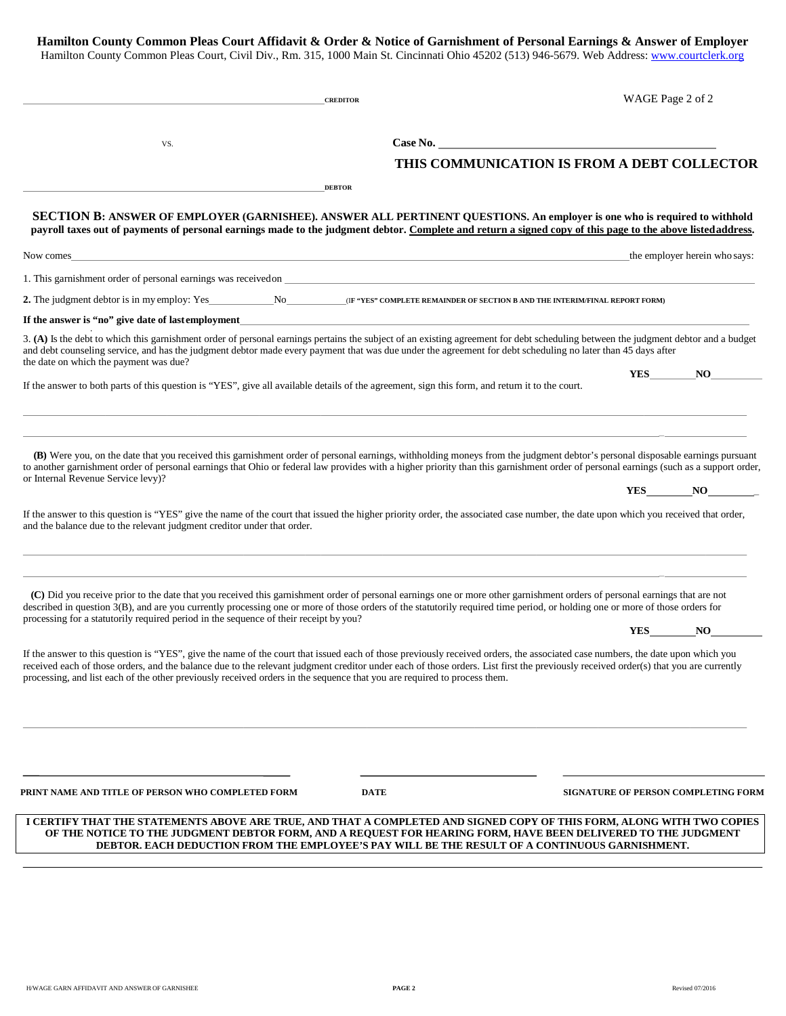| Hamilton County Common Pleas Court Affidavit & Order & Notice of Garnishment of Personal Earnings & Answer of Employer                       |
|----------------------------------------------------------------------------------------------------------------------------------------------|
| Hamilton County Common Pleas Court, Civil Div., Rm, 315, 1000 Main St. Cincinnati Ohio 45202 (513) 946-5679. Web Address: www.courtclerk.org |
|                                                                                                                                              |

|                                                                                                                                                                                                                                                                                                                                                                                                                                                                                                   | <b>CREDITOR</b> | WAGE Page 2 of 2                                                                               |
|---------------------------------------------------------------------------------------------------------------------------------------------------------------------------------------------------------------------------------------------------------------------------------------------------------------------------------------------------------------------------------------------------------------------------------------------------------------------------------------------------|-----------------|------------------------------------------------------------------------------------------------|
| VS.                                                                                                                                                                                                                                                                                                                                                                                                                                                                                               |                 |                                                                                                |
|                                                                                                                                                                                                                                                                                                                                                                                                                                                                                                   |                 | THIS COMMUNICATION IS FROM A DEBT COLLECTOR                                                    |
|                                                                                                                                                                                                                                                                                                                                                                                                                                                                                                   | <b>DEBTOR</b>   |                                                                                                |
| SECTION B: ANSWER OF EMPLOYER (GARNISHEE). ANSWER ALL PERTINENT QUESTIONS. An employer is one who is required to withhold<br>payroll taxes out of payments of personal earnings made to the judgment debtor. Complete and return a signed copy of this page to the above listed address.                                                                                                                                                                                                          |                 |                                                                                                |
| Now comes<br>,我们也不会有什么。""我们的人,我们也不会有什么?""我们的人,我们也不会有什么?""我们的人,我们也不会有什么?""我们的人,我们也不会有什么?""我们的人                                                                                                                                                                                                                                                                                                                                                                                                     |                 | the employer herein who says:                                                                  |
| 1. This garnishment order of personal earnings was received on example. The state of the state of the state of personal earnings was received on example.                                                                                                                                                                                                                                                                                                                                         |                 |                                                                                                |
| 2. The judgment debtor is in my employ: Yes No CIF "YES" COMPLETE REMAINDER OF SECTION B AND THE INTERIMITINAL REPORT FORM                                                                                                                                                                                                                                                                                                                                                                        |                 |                                                                                                |
| If the answer is "no" give date of last employment                                                                                                                                                                                                                                                                                                                                                                                                                                                |                 |                                                                                                |
| 3. (A) Is the debt to which this garnishment order of personal earnings pertains the subject of an existing agreement for debt scheduling between the judgment debtor and a budget<br>and debt counseling service, and has the judgment debtor made every payment that was due under the agreement for debt scheduling no later than 45 days after<br>the date on which the payment was due?                                                                                                      |                 |                                                                                                |
| If the answer to both parts of this question is "YES", give all available details of the agreement, sign this form, and return it to the court.                                                                                                                                                                                                                                                                                                                                                   |                 | NO<br><b>YES</b>                                                                               |
| (B) Were you, on the date that you received this garnishment order of personal earnings, withholding moneys from the judgment debtor's personal disposable earnings pursuant                                                                                                                                                                                                                                                                                                                      |                 |                                                                                                |
| to another garnishment order of personal earnings that Ohio or federal law provides with a higher priority than this garnishment order of personal earnings (such as a support order,<br>or Internal Revenue Service levy)?                                                                                                                                                                                                                                                                       |                 |                                                                                                |
|                                                                                                                                                                                                                                                                                                                                                                                                                                                                                                   |                 | YES NO                                                                                         |
| If the answer to this question is "YES" give the name of the court that issued the higher priority order, the associated case number, the date upon which you received that order,<br>and the balance due to the relevant judgment creditor under that order.                                                                                                                                                                                                                                     |                 |                                                                                                |
| (C) Did you receive prior to the date that you received this garnishment order of personal earnings one or more other garnishment orders of personal earnings that are not<br>described in question 3(B), and are you currently processing one or more of those orders of the statutorily required time period, or holding one or more of those orders for<br>processing for a statutorily required period in the sequence of their receipt by you?                                               |                 | <b>YES</b><br>NO                                                                               |
| If the answer to this question is "YES", give the name of the court that issued each of those previously received orders, the associated case numbers, the date upon which you<br>received each of those orders, and the balance due to the relevant judgment creditor under each of those orders. List first the previously received order(s) that you are currently<br>processing, and list each of the other previously received orders in the sequence that you are required to process them. |                 |                                                                                                |
|                                                                                                                                                                                                                                                                                                                                                                                                                                                                                                   |                 |                                                                                                |
| PRINT NAME AND TITLE OF PERSON WHO COMPLETED FORM                                                                                                                                                                                                                                                                                                                                                                                                                                                 | <b>DATE</b>     | SIGNATURE OF PERSON COMPLETING FORM                                                            |
| I CERTIFY THAT THE STATEMENTS ABOVE ARE TRUE, AND THAT A COMPLETED AND SIGNED COPY OF THIS FORM, ALONG WITH TWO COPIES<br>OF THE NOTICE TO THE JUDGMENT DEBTOR FORM, AND A REQUEST FOR HEARING FORM, HAVE BEEN DELIVERED TO THE JUDGMENT                                                                                                                                                                                                                                                          |                 | DEBTOR. EACH DEDUCTION FROM THE EMPLOYEE'S PAY WILL BE THE RESULT OF A CONTINUOUS GARNISHMENT. |